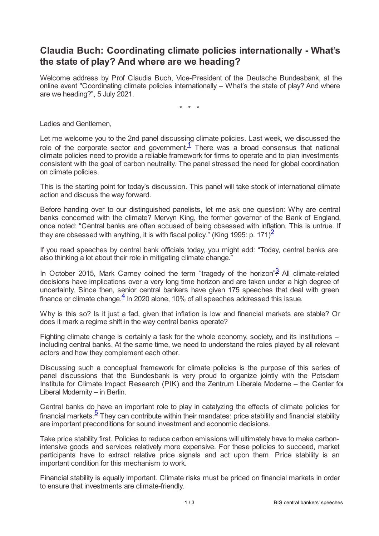## **Claudia Buch: Coordinating climate policies internationally - What's the state of play? And where are we heading?**

Welcome address by Prof Claudia Buch, Vice-President of the Deutsche Bundesbank, at the online event "Coordinating climate policies internationally – What's the state of play? And where are we heading?", 5 July 2021.

<span id="page-0-2"></span><span id="page-0-1"></span><span id="page-0-0"></span>\* \* \*

Ladies and Gentlemen,

Let me welcome you to the 2nd panel discussing climate policies. Last week, we discussed the role of the corporate sector and government. $1$  There was a broad consensus that national climate policies need to provide a reliable framework for firms to operate and to plan investments consistent with the goal of carbon neutrality. The panel stressed the need for global coordination on climate policies.

This is the starting point for today's discussion. This panel will take stock of international climate action and discuss the way forward.

Before handing over to our distinguished panelists, let me ask one question: Why are central banks concerned with the climate? Mervyn King, the former governor of the Bank of England, once noted: "Central banks are often accused of being obsessed with inflation. This is untrue. If they are obsessed with anything, it is with fiscal policy." (King 1995: p. 171) $\frac{2}{3}$  $\frac{2}{3}$  $\frac{2}{3}$ 

If you read speeches by central bank officials today, you might add: "Today, central banks are also thinking a lot about their role in mitigating climate change."

In October 2015, Mark Carney coined the term "tragedy of the horizon" $\frac{3}{2}$  $\frac{3}{2}$  $\frac{3}{2}$  All climate-related decisions have implications over a very long time horizon and are taken under a high degree of uncertainty. Since then, senior central bankers have given 175 speeches that deal with green finance or climate change. $\frac{4}{5}$  $\frac{4}{5}$  $\frac{4}{5}$  In 2020 alone, 10% of all speeches addressed this issue.

<span id="page-0-3"></span>Why is this so? Is it just a fad, given that inflation is low and financial markets are stable? Or does it mark a regime shift in the way central banks operate?

Fighting climate change is certainly a task for the whole economy, society, and its institutions – including central banks. At the same time, we need to understand the roles played by all relevant actors and how they complement each other.

Discussing such a conceptual framework for climate policies is the purpose of this series of panel discussions that the Bundesbank is very proud to organize jointly with the Potsdam Institute for Climate Impact Research (PIK) and the Zentrum Liberale Moderne – the Center for Liberal Modernity – in Berlin.

<span id="page-0-4"></span>Central banks do have an important role to play in catalyzing the effects of climate policies for financial markets.<sup>[5](#page-2-4)</sup> They can contribute within their mandates: price stability and financial stability are important preconditions for sound investment and economic decisions.

Take price stability first. Policies to reduce carbon emissions will ultimately have to make carbonintensive goods and services relatively more expensive. For these policies to succeed, market participants have to extract relative price signals and act upon them. Price stability is an important condition for this mechanism to work.

Financial stability is equally important. Climate risks must be priced on financial markets in order to ensure that investments are climate-friendly.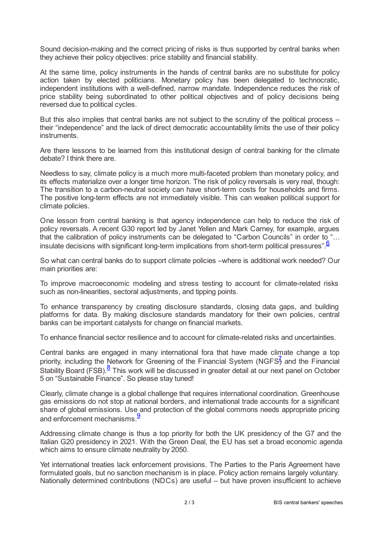Sound decision-making and the correct pricing of risks is thus supported by central banks when they achieve their policy objectives: price stability and financial stability.

At the same time, policy instruments in the hands of central banks are no substitute for policy action taken by elected politicians. Monetary policy has been delegated to technocratic, independent institutions with a well-defined, narrow mandate. Independence reduces the risk of price stability being subordinated to other political objectives and of policy decisions being reversed due to political cycles.

But this also implies that central banks are not subject to the scrutiny of the political process – their "independence" and the lack of direct democratic accountability limits the use of their policy instruments.

Are there lessons to be learned from this institutional design of central banking for the climate debate? I think there are.

Needless to say, climate policy is a much more multi-faceted problem than monetary policy, and its effects materialize over a longer time horizon. The risk of policy reversals is very real, though: The transition to a carbon-neutral society can have short-term costs for households and firms. The positive long-term effects are not immediately visible. This can weaken political support for climate policies.

One lesson from central banking is that agency independence can help to reduce the risk of policy reversals. A recent G30 report led by Janet Yellen and Mark Carney, for example, argues that the calibration of policy instruments can be delegated to "Carbon Councils" in order to "… insulate decisions with significant long-term implications from short-term political pressures". [6](#page-2-5)

<span id="page-1-0"></span>So what can central banks do to support climate policies –where is additional work needed? Our main priorities are:

To improve macroeconomic modeling and stress testing to account for climate-related risks such as non-linearities, sectoral adjustments, and tipping points.

To enhance transparency by creating disclosure standards, closing data gaps, and building platforms for data. By making disclosure standards mandatory for their own policies, central banks can be important catalysts for change on financial markets.

To enhance financial sector resilience and to account for climate-related risks and uncertainties.

<span id="page-1-2"></span><span id="page-1-1"></span>Central banks are engaged in many international fora that have made climate change a top priority, including the Network for Greening of the Financial System (NGFS $\frac{3}{2}$  and the Financial Stability Board (FSB).<sup>[8](#page-2-7)</sup> This work will be discussed in greater detail at our next panel on October 5 on "Sustainable Finance". So please stay tuned!

Clearly, climate change is a global challenge that requires international coordination. Greenhouse gas emissions do not stop at national borders, and international trade accounts for a significant share of global emissions. Use and protection of the global commons needs appropriate pricing and enforcement mechanisms.<sup>[9](#page-2-8)</sup>

<span id="page-1-3"></span>Addressing climate change is thus a top priority for both the UK presidency of the G7 and the Italian G20 presidency in 2021. With the Green Deal, the EU has set a broad economic agenda which aims to ensure climate neutrality by 2050.

Yet international treaties lack enforcement provisions. The Parties to the Paris Agreement have formulated goals, but no sanction mechanism is in place. Policy action remains largely voluntary. Nationally determined contributions (NDCs) are useful – but have proven insufficient to achieve